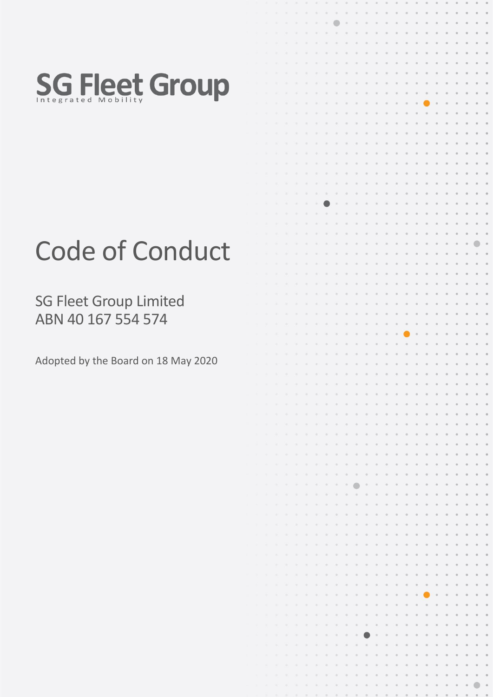

# Code of Conduct

SG Fleet Group Limited ABN 40 167 554 574

Adopted by the Board on 18 May 2020

|                   | $\alpha$                 | $\mathcal{A}$        | $\bar{b}$                | $\alpha$                             | $\alpha$                    |                                                                                                                | $0.1 - 0.1$                                                                                                                       | 0.010                                                                              |                             | $\sim 0$         | 0, 0.                  |                                       | $\circ$        | $\circ$          | $\alpha$                                                                                                              | $\circ$                                                                                                                                                               | $\circ$                         | $\circ$    | $\circ$                                | o                                     |                       |          |            |
|-------------------|--------------------------|----------------------|--------------------------|--------------------------------------|-----------------------------|----------------------------------------------------------------------------------------------------------------|-----------------------------------------------------------------------------------------------------------------------------------|------------------------------------------------------------------------------------|-----------------------------|------------------|------------------------|---------------------------------------|----------------|------------------|-----------------------------------------------------------------------------------------------------------------------|-----------------------------------------------------------------------------------------------------------------------------------------------------------------------|---------------------------------|------------|----------------------------------------|---------------------------------------|-----------------------|----------|------------|
|                   | $\alpha$                 | ×                    | $\sim$                   | $\alpha$                             | $\mathbb{R}$                | $\langle \psi \rangle$                                                                                         | $\alpha$                                                                                                                          | ●                                                                                  | $\sim 00$                   | $\circ$          | $\otimes$              | $\langle 0 \rangle$                   | $\odot$        | $\alpha$         | $\circ$                                                                                                               | $\circ$                                                                                                                                                               | $\oplus$                        | $\circ$    | $\circ$                                | o                                     | ۰                     |          |            |
|                   | $\mathcal{R}$            | $\mathcal{R}$        | ×                        | $\sim$                               | $\boldsymbol{\alpha}$       | $\mathbb{R}^+$                                                                                                 | $\label{eq:1} \begin{array}{l} \mathcal{O} \end{array}$                                                                           | $-0.7$                                                                             | $\Omega$                    | $\alpha$         | $\alpha$               | $\alpha$                              | $\alpha$       | $\circ$          | $\hfill \Box$                                                                                                         | $\circ$                                                                                                                                                               | $\circ$                         | $\circ$    | $\circ$                                | $\circ$                               | o                     |          | o          |
|                   | ۰                        | ٠                    | ×                        | ×                                    | $\mathcal{D}_{\mathcal{A}}$ | $\label{eq:1} \begin{array}{l} \mathcal{L}_{\mathcal{N}} \left( \mathcal{L}_{\mathcal{N}} \right) \end{array}$ | $\alpha$                                                                                                                          | $\circ$                                                                            | $\alpha$                    | $\circ$          | $\alpha$               | $\odot$                               | $\circ$        | $\Theta$         | $\alpha$                                                                                                              | $\circ$                                                                                                                                                               | $\alpha$                        | $\circ$    | $\circ$                                | o                                     | o                     |          | o          |
|                   | ٦                        | ٠                    | $\alpha$                 | $\boldsymbol{\alpha}$                | $\Omega$                    | $\alpha$                                                                                                       | $\alpha$                                                                                                                          | $\alpha$                                                                           | Ø.                          | o,               | $\alpha$               | $\circ$                               | o,             | $\alpha$         | O.                                                                                                                    | $\circ$                                                                                                                                                               | $\alpha$                        | $\circ$    | $\alpha$                               | o                                     | o                     |          | o          |
|                   |                          |                      |                          |                                      |                             |                                                                                                                |                                                                                                                                   |                                                                                    |                             |                  |                        |                                       |                |                  |                                                                                                                       |                                                                                                                                                                       |                                 |            |                                        |                                       |                       |          |            |
|                   |                          | ×                    | $\alpha$                 | $\mathcal{Q}_2$                      | $\alpha$                    | $\alpha$                                                                                                       | $\alpha$                                                                                                                          | $\Omega$                                                                           | $\alpha$                    | $\alpha$         | $\alpha$               | $\alpha$                              | ø.             | ö.               | $\alpha$                                                                                                              | o.                                                                                                                                                                    | o                               | o          | $\circ$                                | o                                     | o                     |          | o.         |
|                   |                          | ٠                    | ٠                        | $\alpha$                             | $\alpha$                    | $\alpha$                                                                                                       | $\alpha$                                                                                                                          | $\label{eq:1} \begin{array}{l} \mathcal{L}_{\mathcal{M}}(\mathcal{C}) \end{array}$ | $\mathbb{O}$                | $\alpha$         | $\boldsymbol{0}$       | $\alpha$                              | o              | $\odot$          | $\boldsymbol{0}$                                                                                                      | $\circ$                                                                                                                                                               | $\circ$                         | $\circ$    | $\circ$                                | o                                     | $\circ$               |          | $\circ$    |
|                   | ×                        | ٠                    | ×                        | $\sim$                               | $\alpha$                    | $\alpha$                                                                                                       | ×.                                                                                                                                | $\sim$                                                                             | $\circ$                     | $\alpha$         | ø                      | $\Theta$                              | $\alpha$       | $\alpha$         | $\circ$                                                                                                               | o.                                                                                                                                                                    | $\circ$                         | $\alpha$   | $\circ$                                | o                                     | o                     |          | $\circ$    |
|                   |                          | ٠                    | ۰                        | ×                                    | $\alpha$                    | ×                                                                                                              | $\alpha$                                                                                                                          | ×                                                                                  | $\sim$                      | $\alpha$         | $\alpha$               | $\alpha$                              | $\alpha$       | $\alpha$         | $\alpha$                                                                                                              | $\alpha$                                                                                                                                                              | ٠                               | $\alpha$   | $\boldsymbol{0}$                       | $\circ$                               | $\qquad \qquad \circ$ | o        | $\circ$    |
|                   |                          | $\sim$               | $\overline{\phantom{a}}$ | ٠                                    | $\alpha$                    | $\frac{1}{2} \left( \frac{1}{2} \right)^2$                                                                     | $\mathbb{R}$                                                                                                                      | $-15$                                                                              | $\alpha$                    | $\mathcal{O}$    | $\alpha$               | $\Theta$                              | $\circ$        | $\alpha$         | $\circ$                                                                                                               | $\circ$                                                                                                                                                               |                                 | $\circ$    | $\alpha$                               | $\circ$                               | $\circ$               | o        | $\circ$    |
|                   |                          | ×                    | $\alpha$                 | $\sim$                               | $\alpha$                    | $\infty$                                                                                                       | $\alpha$                                                                                                                          | $\alpha$                                                                           | $\Box$                      | $\odot$          | $\alpha$               | $\circ$                               | $\circ$        | $_{\odot}$       | $\circ$                                                                                                               | $\alpha$                                                                                                                                                              | $\circ$                         | $\circ$    | $\circ$                                | o                                     | $\circ$               |          | $\circ$    |
|                   |                          | ×                    | ٠                        | $\alpha$                             | $\alpha$                    | $\alpha$                                                                                                       | $\alpha$                                                                                                                          | $\label{eq:3} \begin{array}{l} \mathcal{L}_{\mathcal{M}}(\mathcal{C}) \end{array}$ | $\mathbb{R}$                | $\circ$          | $\circ$                | $\alpha$                              | $\alpha$       | $\alpha$         | $\alpha$                                                                                                              | $\circ$                                                                                                                                                               | $\circ$                         | $\circ$    | $\alpha$                               | $\alpha$                              | $\circ$               |          | $\circ$    |
|                   |                          | ۰                    | ۰                        | $\mathcal{M}$                        | $\alpha$                    | $\mathcal{D}$                                                                                                  | ۰                                                                                                                                 | $\sim$                                                                             | $\mathcal{L}_{\mathcal{A}}$ | $\alpha$         | $\alpha$               | $\alpha$                              | $\alpha$       | $\circ$          | $\alpha$                                                                                                              | ۰                                                                                                                                                                     | $\alpha$                        | $\alpha$   | $\circ$                                | $\alpha$                              | o                     |          | $\circ$    |
|                   |                          |                      |                          |                                      |                             |                                                                                                                |                                                                                                                                   |                                                                                    |                             |                  |                        |                                       |                |                  |                                                                                                                       |                                                                                                                                                                       |                                 |            |                                        | o                                     |                       |          |            |
|                   | a                        | ٠                    | ۰                        | ×                                    | $\alpha$                    | $\mathcal{D}_1$                                                                                                | $\mathbb{R}^2$                                                                                                                    | $\begin{array}{c} \circ \\ \circ \end{array}$                                      | $\mathcal{D}$               | $\alpha$         | $\alpha$               | $\Omega$                              | $\circ$        | $\alpha$         | $\alpha$                                                                                                              | $\alpha$                                                                                                                                                              | $\alpha$                        | $\alpha$   | $\ddot{\phantom{a}}$                   |                                       | o                     |          | $^\circ$   |
|                   | ۹                        | ۰                    | $\overline{\phantom{a}}$ | $\alpha$                             | $\mathcal{O}$               | $\alpha$                                                                                                       | $\alpha$                                                                                                                          | $\mathbb{R}$                                                                       | O.                          | $\odot$          | $\circ$                | $\circ$                               | o              | $\circ$          | $\sigma$                                                                                                              | $\alpha$                                                                                                                                                              | $\alpha$                        | $\circ$    | $\circ$                                | o                                     | $\circ$               |          | $\circ$    |
|                   |                          | ×                    | $\alpha$                 | $\alpha$                             | $\alpha$                    | $\sim$                                                                                                         | $\mathbb{G}.$                                                                                                                     | $\alpha$                                                                           | $\odot$                     | $\circ$          | $\scriptstyle\odot$    | $\rm _0$                              | $\circ$        | $\boldsymbol{0}$ | $\circ$                                                                                                               | $\hskip 1pt 0$                                                                                                                                                        | $\circ$                         | $\circ$    | $\begin{array}{c} \square \end{array}$ | $\circ$                               | $\circ$               |          | $\circ$    |
|                   |                          | ۰                    | ×                        | $\alpha$                             | $\mathfrak{D}$              | $\scriptstyle\odot$                                                                                            | $\alpha$                                                                                                                          | $\alpha$                                                                           | $\mathbb{Q}$                | U)               | ó,                     | $\alpha$                              | ó              | $\circ$          | $\mathbb{O}$                                                                                                          | $\circ$                                                                                                                                                               | $\alpha$                        | $\circ$    | $\Theta$                               | $\circ$                               | $\circ$               |          | $\circ$    |
|                   | ۰                        | $\scriptstyle\rm II$ | ۰                        | ٠                                    | $\alpha$                    | $\mathfrak{S}$                                                                                                 | $\circ$                                                                                                                           | $\scriptstyle\odot$                                                                | $\Theta$                    | $\circ$          | s.                     | $\boldsymbol{0}$                      | o,             | $\alpha$         | ö                                                                                                                     | o.                                                                                                                                                                    | $\alpha$                        | $\alpha$   | ø                                      | ö                                     | o                     | ø        | $^\circ$   |
|                   | ×                        | ۰                    | ۸                        | ×                                    | $\boldsymbol{\eta}$         | 水                                                                                                              | $\mathcal{D}$                                                                                                                     | $\sigma$                                                                           | $\Omega$                    | ö                | $\alpha$               | $\alpha$                              | $\alpha$       | $\alpha$         | $\alpha$                                                                                                              | $\circ$                                                                                                                                                               | $\alpha$                        | $\alpha$   | $\alpha$                               | o                                     | $\circ$               | ø        | $\circ$    |
|                   | ٠                        | ×                    | ×                        | $\alpha$                             | $\boldsymbol{0}$            | ×                                                                                                              |                                                                                                                                   | $\mathcal{D}$                                                                      | $\alpha$                    | $\alpha$         | $\alpha$               | $\alpha$                              | $\alpha$       | $\Theta$         | $\circ$                                                                                                               | $\circ$                                                                                                                                                               | $\alpha$                        | $\circ$    | $\circ$                                | $\boldsymbol{0}$                      | $\circ$               | $\circ$  | $\circ$    |
|                   | $\sim$                   | $\alpha$             | $\alpha$                 | $\alpha$                             | $\alpha$                    | $\mathbb{D}$                                                                                                   | $\alpha$                                                                                                                          | $\alpha$                                                                           | $\alpha$                    | $\alpha$         | $\circ$                | $\alpha$                              | $\alpha$       | $\rm ^{\circ}$   | $_{\odot}$                                                                                                            | $\circ$                                                                                                                                                               | $\circ$                         | $_{\odot}$ | $\circ$                                | $\begin{array}{c} 0 \\ 0 \end{array}$ | $\circ$               | o        | $\circ$    |
|                   |                          |                      |                          | ×                                    | $\boldsymbol{0}$            |                                                                                                                | $\sim$                                                                                                                            |                                                                                    | $\alpha$                    |                  | $\alpha$               | $\alpha$                              | $\alpha$       | $\alpha$         | $\alpha$                                                                                                              | $\alpha$                                                                                                                                                              | $\alpha$                        | $\alpha$   | $\circ$                                | $\alpha$                              | $\circ$               | $\alpha$ | $\circ$    |
|                   | a                        | $\mathcal{R}$        | ×                        |                                      |                             | ۰                                                                                                              |                                                                                                                                   | $\alpha$                                                                           |                             | $\alpha$         |                        |                                       |                |                  |                                                                                                                       |                                                                                                                                                                       |                                 |            |                                        |                                       |                       |          |            |
|                   | $\mathcal{M}$            | ٠                    | $\mathcal{D}$            | ٠                                    | $\alpha$                    | $\mathcal{O}$                                                                                                  | o                                                                                                                                 | $\alpha$                                                                           | $\alpha$                    | $\alpha$         | $\sigma$               | $\alpha$                              | $\sim$         | $\alpha$         | $\alpha$                                                                                                              | $\alpha$                                                                                                                                                              | $\alpha$                        | $\alpha$   | $\Theta$                               | $\alpha$                              | $\circ$               | o        | $\circ$    |
|                   | $\lambda$                | ×                    | ۸                        | $\scriptstyle\rm{m}$                 | $\%$                        | $\mathcal{O}_1$                                                                                                | $\begin{array}{c} \begin{array}{c} \begin{array}{c} \begin{array}{c} \end{array} \end{array} \end{array} \end{array} \end{array}$ | $\alpha$                                                                           | $\alpha$                    | $\frac{1}{2}$    | $\alpha$               | $\alpha$                              | $\alpha$       | $\alpha$         | $\begin{array}{c} \begin{array}{c} \begin{array}{c} \begin{array}{c} \end{array} \end{array} \end{array} \end{array}$ | $\alpha$                                                                                                                                                              | ۰                               | $\alpha$   | $\alpha$                               | $\alpha$                              | $\circ$               |          | $\circ$    |
|                   | π                        | ×                    | $\sim$                   | ×                                    | $\Omega$                    | ×                                                                                                              | $\mathbb{R}$                                                                                                                      | $\alpha$                                                                           | $\alpha$                    | $\alpha$         | ۰                      | $\circ$                               | $\alpha$       | $\alpha$         | $\alpha$                                                                                                              | $\circ$                                                                                                                                                               | $\alpha$                        | $\alpha$   | $\circ$                                | $\alpha$                              | $\circ$               | $\alpha$ | $\circ$    |
|                   | $\mathcal{A}$            | $\sim$               | $\sim$                   | $\alpha$                             | $\alpha$                    | $\alpha$                                                                                                       | $\begin{array}{c} \square \end{array}$                                                                                            | $\equiv$                                                                           | $\frac{1}{2}$               | $\odot$          | $\alpha$               | $\rm 0$                               | $\alpha$       | $\mathbb{R}$     | $_{\odot}$                                                                                                            | $\circ$                                                                                                                                                               | $\hskip 10pt \rule{0pt}{2.5pt}$ | $\circ$    | $\circ$                                | $\circ$                               | $\odot$               | ö        | $\odot$    |
|                   | ۰                        | ٠                    | ×                        | ×                                    | $\Theta$                    | $\alpha$                                                                                                       | $\alpha$                                                                                                                          | $\alpha$                                                                           | $\alpha$                    | $\mathbb{Q}$     | o.                     | $\alpha$                              | ٠              | $\alpha$         | $\circ$                                                                                                               | $\circ$                                                                                                                                                               | ۰                               | $\circ$    | $\circ$                                | $\circ$                               | $\circ$               | $\alpha$ | $\circ$    |
|                   | ×                        | $\approx$            | ۰                        | ×                                    | $\alpha$                    | $\alpha$                                                                                                       | $\alpha$                                                                                                                          | $\infty$                                                                           | $\alpha$                    | $\mathbb{Q}$     | o.                     | $\Theta$                              | $\circ$        | $\alpha$         | $\boldsymbol{\eta}$                                                                                                   | $\alpha$                                                                                                                                                              | $\alpha$                        | $\circ$    | $\circ$                                | G                                     | $\circ$               | o        | o          |
|                   |                          | $\alpha$             | $\sim$                   | ۰                                    | $\alpha$                    | $\mathbb{G}.$                                                                                                  | $\alpha$                                                                                                                          | ۰                                                                                  | $\alpha$                    | $\alpha$         | ù.                     | o.                                    | $\alpha$       | o                | $\alpha$                                                                                                              | o                                                                                                                                                                     | o,                              | $\alpha$   | $\circ$                                | o                                     | $\circ$               | ۵        | ö          |
|                   |                          |                      |                          |                                      |                             |                                                                                                                | $\alpha$                                                                                                                          | a,                                                                                 | ö.                          | $\alpha$         | o                      | ú.                                    | $\alpha$       | o.               | ö                                                                                                                     | $\circ$                                                                                                                                                               | $\alpha$                        | $\circ$    | $\alpha$                               | $\circ$                               | $\circ$               | o        | o          |
|                   |                          | ×.                   | $\scriptstyle\rm{10}$    | xi.                                  | $\alpha$                    | $\alpha$                                                                                                       |                                                                                                                                   |                                                                                    |                             |                  |                        |                                       |                |                  |                                                                                                                       |                                                                                                                                                                       |                                 |            |                                        |                                       |                       |          |            |
|                   |                          | ٠                    | $\alpha$                 | $\alpha$                             | $\alpha$                    | $\alpha$                                                                                                       | $\circ$                                                                                                                           | $\scriptstyle\rm 0$                                                                | o.                          | $\circ$          | $\circ$                | $\alpha$                              | ö              | o                | $\circ$                                                                                                               | o                                                                                                                                                                     | o                               | o          | o                                      | ö                                     | $\circ$               | ø        | o          |
|                   | $\mathcal{R}$            | ×                    | ۰                        | $\mathcal{M}$                        | $\alpha$                    | $\alpha$                                                                                                       | $\alpha$                                                                                                                          | $\alpha$                                                                           | $\Omega$                    | $\alpha$         | $\alpha$               | $\alpha$                              | $\alpha$       | $\alpha$         | $\alpha$                                                                                                              | $\circ$                                                                                                                                                               | $\alpha$                        | $\alpha$   | $\circ$                                | ö                                     | $\circ$               | o        | $\circ$    |
|                   | $\overline{\phantom{a}}$ | ×                    | $\alpha$                 | ×                                    | $\alpha$                    | $\alpha$                                                                                                       | ×.                                                                                                                                | œ.                                                                                 | W.                          | $\mathbb{Q}$     | $\alpha$               | $\Omega$                              | $\circ$        | $\Theta$         |                                                                                                                       | $\alpha$                                                                                                                                                              | $\alpha$                        | $\alpha$   | $\circ$                                | o                                     | $\circ$               | ö        | $\circ$    |
|                   | $\mathcal{A}$            | $\alpha$             | ×                        | ×                                    | $\alpha$                    | $\alpha$                                                                                                       | $\alpha$                                                                                                                          | $\alpha$                                                                           | $\alpha$                    | $\alpha$         | n.                     | $\alpha$                              | $\alpha$       | $\alpha$         | $\alpha$                                                                                                              | $\alpha$                                                                                                                                                              | o                               | $\circ$    | o                                      | ö                                     | o                     | o        | $\circ$    |
|                   |                          | ×                    | ×                        | $\alpha$                             | $\alpha$                    | ×.                                                                                                             | $\alpha$                                                                                                                          | ٠                                                                                  | ×                           | ×                | s.                     | ×                                     | $\alpha$       | $\alpha$         | $\alpha$                                                                                                              | ٠                                                                                                                                                                     | $\alpha$                        | $\circ$    | ö                                      | o                                     | o                     | ø        | $\alpha$   |
| $\mathbf{B}$      | $\alpha$                 | $\alpha$             | $\sim$                   | $\alpha$                             | $\alpha$                    | $\rightarrow$                                                                                                  | $\sim$                                                                                                                            | ۰                                                                                  | $\sim$                      | ٠                | $\alpha$               | ٠                                     | $\circ$        | o                | $\alpha$                                                                                                              | $\circ$                                                                                                                                                               | $\circ$                         | $\circ$    | $\circ$                                | o                                     | o                     | o        | $\alpha$   |
|                   | $\mathcal{R}$            | ×                    | ×                        | $\alpha$                             | $\alpha$                    | $\mathcal{D}$                                                                                                  | $\alpha$                                                                                                                          | ×                                                                                  | $\alpha$                    | $\alpha$         | $\alpha$               | $\alpha$                              | ö              | $_{\odot}$       | $\circ$                                                                                                               | $\circ$                                                                                                                                                               | $\circ$                         | $\circ$    | $\circ$                                | o                                     | $\circ$               | o        | $\circ$    |
|                   |                          |                      | ٠                        |                                      | é                           | ۰                                                                                                              | ×                                                                                                                                 | ۰                                                                                  | ۰                           | $\boldsymbol{0}$ | ۰                      | $\circ$                               |                |                  |                                                                                                                       |                                                                                                                                                                       |                                 |            |                                        |                                       |                       |          |            |
|                   |                          |                      |                          | ۰                                    |                             |                                                                                                                |                                                                                                                                   |                                                                                    |                             |                  |                        |                                       |                |                  |                                                                                                                       |                                                                                                                                                                       |                                 |            |                                        |                                       |                       |          |            |
|                   | ×                        | ٠                    | ٠                        | $\mathbb{R}$                         | $\alpha$                    | $\alpha$                                                                                                       | ٠                                                                                                                                 | $\alpha$                                                                           | ۰                           | $\circ$          | ö                      | o                                     | $\circ$        | ×                |                                                                                                                       |                                                                                                                                                                       |                                 |            |                                        |                                       |                       |          | o          |
|                   | ۰                        | ×                    | ٠                        | ٠                                    | $\alpha$                    | $\label{eq:1} \mathcal{L}_{\mathcal{A}}(t) = \mathcal{L}_{\mathcal{A}}(t)$                                     | $\alpha$                                                                                                                          | $\alpha$                                                                           | ö                           | $\alpha$         | o                      | ö                                     | ۰              | $\sigma$         | $\alpha$                                                                                                              | ۰                                                                                                                                                                     | ó                               | o          | o                                      |                                       |                       |          | ö          |
| $\alpha$          | ×                        | ۰                    | $\alpha$                 | $\alpha$                             | ×                           | ×                                                                                                              | $\sim$                                                                                                                            | ٠                                                                                  | o                           | $\alpha$         | o                      | ö                                     | o              | $\alpha$         | $\alpha$                                                                                                              | ö                                                                                                                                                                     | o                               | o          | $\ddot{\phantom{a}}$                   | ö                                     | ø                     |          | o          |
|                   | ۰                        | ٠                    | ٠                        | $\overline{a}$                       | ×                           | ۰                                                                                                              | ۰                                                                                                                                 | ۰                                                                                  | $\alpha$                    | $\alpha$         | o                      | o                                     | ö              | $\alpha$         | $\circ$                                                                                                               | ۰                                                                                                                                                                     | o                               | ۰          | ö                                      |                                       | ö                     |          | o          |
|                   | ۰                        | ٠                    | ٠                        | ٠                                    | ×                           | $\alpha$                                                                                                       | ٠                                                                                                                                 | $\alpha$                                                                           | $\alpha$                    | ×                | ۰                      | ö                                     | ö              | ö                | ö                                                                                                                     | ö                                                                                                                                                                     | ۰                               | ö          | o                                      |                                       | o                     |          | $^\circ$   |
|                   | ۰                        | ٠                    | ٠                        | $\scriptstyle\rm II$                 | $\Omega$                    | ×.                                                                                                             | $\alpha$                                                                                                                          | $\Omega$ .                                                                         | o                           | $\alpha$         | ö                      | $\alpha$                              | $\overline{u}$ | $\alpha$         | $\circ$                                                                                                               | ö                                                                                                                                                                     | ó                               | ö          | $\alpha$                               | ö                                     | ö                     |          | $^\circ$   |
| $\mathcal{R}$     | $\blacksquare$           | ×                    | $\overline{a}$           | $\qquad \qquad \qquad \qquad \qquad$ | ö.                          | $\overline{\mathcal{M}}$                                                                                       | $\frac{1}{2}$                                                                                                                     | $\alpha$                                                                           | $\alpha$                    | $\alpha$         | ö.                     | $\alpha$                              | ۰              | $\odot$          | $\alpha$                                                                                                              | ö                                                                                                                                                                     | $\circ$                         | ö          | $\ddot{\phantom{a}}$                   | $\circ$                               | o                     |          | $\circ$    |
|                   |                          |                      |                          |                                      |                             |                                                                                                                |                                                                                                                                   |                                                                                    |                             |                  |                        |                                       |                |                  |                                                                                                                       |                                                                                                                                                                       |                                 |            |                                        |                                       |                       |          |            |
| $\mathbf{m}$      | ×                        | ٠                    | ٠                        | $\mathbf{u}$                         | $\alpha$                    | $\frac{1}{2} \left( \frac{1}{2} \right) \left( \frac{1}{2} \right)$                                            | $\alpha$                                                                                                                          | $\alpha$                                                                           | $\mathcal{U}$               | $\alpha$         | $\qquad \qquad \oplus$ | $\alpha$                              | $\circ$        | $\alpha$         | $\alpha$                                                                                                              | $\mathcal{L}_{\mathcal{D}}^{\mathcal{D}}(\mathcal{D})=\mathcal{L}_{\mathcal{D}}^{\mathcal{D}}(\mathcal{D})\oplus\mathcal{L}_{\mathcal{D}}^{\mathcal{D}}(\mathcal{D})$ | ۰                               | $\circ$    | $\alpha$                               | $\circ$                               | ×                     | ٥        | $\circ$    |
| ۰                 | ×                        | ٠                    | ×                        | $\rightarrow$                        | $\alpha$                    | $\frac{1}{2} \left( \frac{1}{2} \right) \left( \frac{1}{2} \right)$                                            | ×                                                                                                                                 | ۰                                                                                  | ×                           | $\alpha$         | ۰                      | $\mathcal{O}_{\mathcal{C}}$           | ×              | $\alpha$         | $\alpha$                                                                                                              | ۰                                                                                                                                                                     | $\circ$                         | $\circ$    | $\circ$                                | ٠                                     | ۰                     | o        | $\circ$    |
|                   | œ                        | ۰                    | $\sim$                   | ٠                                    | $\alpha$                    | ×                                                                                                              | $\alpha$                                                                                                                          | ×                                                                                  | $\overline{a}$              |                  | ٠                      | $\alpha$                              | ٠              | $\circ$          | $\alpha$                                                                                                              | o                                                                                                                                                                     | $\alpha$                        | ٠          | $\circ$                                | o                                     | $\circ$               | o        | $\circ$    |
|                   | ٠                        | ٠                    | $\overline{\phantom{a}}$ | ٠                                    | $\alpha$                    | $\sim$                                                                                                         | $\alpha$                                                                                                                          | ×                                                                                  | $\circ$                     | $\mathcal{O}_1$  | $\alpha$               | $\alpha$                              | $\sim$         | $\sim$           | $\circ$                                                                                                               | $\alpha$                                                                                                                                                              | $\circ$                         | $\circ$    | ٠                                      | $\circ$                               | $\alpha$              |          | $\circ$    |
| $\langle \rangle$ | œ                        | ×                    | $\overline{\phantom{a}}$ | $\blacksquare$                       | $\mathbb{R}$                | $\mathcal{L}$                                                                                                  | $\sim$                                                                                                                            | o.                                                                                 | ×                           | $\alpha$         | $\alpha$               | $\alpha$                              | $\alpha$       | $\circ$          | $\sim$                                                                                                                | $\alpha$                                                                                                                                                              | $\alpha$                        | o          | $\circ$                                | $\circ$                               | $\circ$               |          | $\circ$    |
| $\mathbf{m}$      | $\sqrt{1}$               | ٠                    | ٠                        | 发                                    | $\frac{1}{2}$               | $\langle 0 \rangle$                                                                                            | $\mathcal{L}$                                                                                                                     | $\Theta$                                                                           | $\mathbb{R}$                | ٠                | $\mathfrak{g}$         | $\alpha$                              | $\alpha$       | $\alpha$         | $\alpha$                                                                                                              | $\circ$                                                                                                                                                               | $\alpha$                        | o          | $\circ$                                | $\alpha$                              | $\alpha$              |          | $\circ$    |
| ۰                 | ۰                        | ۰                    | ۰                        | $\lambda$                            | $\alpha$                    | $\alpha$                                                                                                       | $\alpha$                                                                                                                          | $\alpha$                                                                           | $\sim$                      | $\hfill \Box$    | $\alpha$               | $\begin{array}{c} \hline \end{array}$ | $\alpha$       | $\alpha$         | $\alpha$                                                                                                              | ۰                                                                                                                                                                     | $\alpha$                        | $\circ$    | o                                      | ٠                                     | $\circ$               |          | o          |
|                   |                          |                      |                          |                                      |                             |                                                                                                                |                                                                                                                                   |                                                                                    |                             |                  |                        |                                       |                |                  | $\alpha$                                                                                                              |                                                                                                                                                                       | ö                               | o          | $\circ$                                | $\circ$                               |                       |          |            |
| $\alpha$          | a                        | $\bar{z}$            | $\scriptstyle\rm II$     | ×                                    | $\alpha$                    | ×                                                                                                              | $\alpha$                                                                                                                          | $^{(0)}$                                                                           | $\mathcal{D}$               | ×                | $\odot$                | $\Omega$                              | $\alpha$       | $\alpha$         |                                                                                                                       | $\circ$                                                                                                                                                               |                                 |            |                                        |                                       | o                     |          | o          |
| ۰                 | Ò                        | ٠                    | $\overline{\phantom{a}}$ | $\alpha$                             | $\Box$                      | $\alpha$                                                                                                       | ×                                                                                                                                 | $\alpha$                                                                           | ø                           | $\alpha$         | $\alpha$               | $\boldsymbol{\alpha}$                 | $\circ$        | $\otimes$        | $\alpha$                                                                                                              | $\circ$                                                                                                                                                               | $\circ$                         | o          | $\circ$                                | $\alpha$                              | o                     |          | o          |
| $\mathbb{R}^3$    |                          | ×                    | $\alpha$                 | $\alpha$                             | $\alpha$                    | $\alpha$                                                                                                       | $\odot$                                                                                                                           | $\mathbb{D}$                                                                       | $\overline{u}$              | $\alpha$         | $\alpha$               | $\circ$                               | $\alpha$       | $\alpha$         | $\sigma$                                                                                                              | $\alpha$                                                                                                                                                              | $\circ$                         | o          | $\ddot{\phantom{a}}$                   | $\circ$                               | $\circ$               |          | O,         |
| ×                 | À                        | ۰                    | ٠                        | ×                                    | $\alpha$                    | $\alpha$                                                                                                       | $\alpha$                                                                                                                          | $\mathcal{D}$                                                                      | $\alpha$                    | o.               | O.                     | $\alpha$                              | $\circ$        | $\alpha$         | $\alpha$                                                                                                              | $\alpha$                                                                                                                                                              | $\alpha$                        | o          | $\ddot{\phantom{a}}$                   | ö                                     | $\circ$               |          | o          |
| Ġ                 | ×                        | ٠                    | ٠                        | ×                                    | $\alpha$                    | $\alpha$                                                                                                       | ×.                                                                                                                                | $\label{eq:3} \begin{array}{l} \mathcal{O} \end{array}$                            | $\circ$                     | $\alpha$         | $\alpha$               | $\alpha$                              | $\alpha$       | $\alpha$         | $\boldsymbol{0}$                                                                                                      | ۰                                                                                                                                                                     | $\alpha$                        | ×          | $\alpha$                               | ö                                     | $\alpha$              | o        | $\circ$    |
|                   | $\lambda$                | $\mathcal{M}$        | ٠                        | ×                                    | $\alpha$                    | $\mathcal{D}$                                                                                                  | ٠                                                                                                                                 | ×                                                                                  | $\sim$                      | $\alpha$         | $\alpha$               | $\Omega$                              | $\alpha$       | $\alpha$         | $\alpha$                                                                                                              | o                                                                                                                                                                     | $\alpha$                        | $\alpha$   | $\alpha$                               | $\alpha$                              | $\circ$               | o        | $\alpha$   |
|                   | ÷                        | $\sim$               | ×                        | ×                                    | $\alpha$                    | $\alpha$                                                                                                       | $\alpha$                                                                                                                          | $\sim$                                                                             | is.                         | $\alpha$         | $\alpha$               | $\alpha$                              | $\alpha$       | $\alpha$         | $\alpha$                                                                                                              | o                                                                                                                                                                     |                                 | $\circ$    | $\circ$                                | o                                     | $\circ$               | $\circ$  | $\circ$    |
| $\bullet$         | XI.                      | ×                    | ×                        | $\alpha$                             | $\alpha$                    | $\sim$                                                                                                         | $\alpha$                                                                                                                          | $\sim$                                                                             | $\sim$                      | $\alpha$         | $\alpha$               | $\alpha$                              | $\alpha$       | $\sim$           | $\circ$                                                                                                               | $\alpha$                                                                                                                                                              | $\circ$                         | $\alpha$   | $\alpha$                               | o                                     | $\circ$               | o        | $\circ$    |
|                   |                          |                      |                          |                                      |                             |                                                                                                                |                                                                                                                                   |                                                                                    |                             |                  |                        |                                       |                |                  |                                                                                                                       |                                                                                                                                                                       |                                 |            |                                        |                                       |                       |          |            |
|                   | n                        | ٠                    | ۰                        | ٠                                    | $\alpha$                    | ٠                                                                                                              | $\sim$                                                                                                                            | ۰                                                                                  | ×                           | o.               | ×                      | $\alpha$                              | $\alpha$       | $\alpha$         | $\alpha$                                                                                                              | $\alpha$                                                                                                                                                              | $\alpha$                        | $\alpha$   | $\alpha$                               | $\alpha$                              | $\alpha$              | $\alpha$ | $\circ$    |
|                   | ٦                        | ×                    | ۷                        | $\scriptstyle\rm{m}$                 | $\alpha$                    | $\alpha$                                                                                                       | ×                                                                                                                                 | $\alpha$                                                                           | ×                           | $\circ$          | $\alpha$               | $\alpha$                              | $\sim$         | $\alpha$         | $\alpha$                                                                                                              | $\alpha$                                                                                                                                                              | $\sim$                          | ×          | ۰                                      | $\alpha$                              | ٠                     | o        | $\circ$    |
|                   | ٠                        | ۰                    | ٠                        | ×                                    | $\alpha$                    | $\mathcal{D}_1$                                                                                                | $\alpha$                                                                                                                          | $\circ$                                                                            | $\sigma$                    | $\alpha$         |                        | $\scriptstyle\odot$                   | $\circ$        | $\alpha$         | ×                                                                                                                     | $\alpha$                                                                                                                                                              | $\alpha$                        | $\alpha$   | $\ddot{\phantom{a}}$                   | o                                     | ×                     | a        | e          |
|                   | ۰                        | ×                    | ۰                        | $\equiv$                             | $\hfill \Box$               | ×                                                                                                              | $\frac{1}{2}$                                                                                                                     | $\alpha$                                                                           | $\alpha$                    | $\alpha$         | $\circ$                | $\alpha$                              | $\alpha$       | $\circ$          | o                                                                                                                     | ×                                                                                                                                                                     | $\alpha$                        | $\circ$    | $\theta$                               | $\circ$                               | $\circ$               | $\alpha$ | $_{\odot}$ |
|                   | ۰                        | ۰                    | ۰                        | $\sim$                               | $\alpha$                    | $\mathcal{D}'$                                                                                                 | $\rm ^{\circ}$                                                                                                                    | $\otimes$                                                                          | $\mathcal{O}$               | $\circ$          | $\odot$                | $\mathbb{O}$                          | $\circ$        | $\circ$          | $\circ$                                                                                                               | $\circ$                                                                                                                                                               | $\alpha$                        | $\alpha$   | $\circ$                                | o                                     | $\circ$               | ø        | O)         |
|                   | ×                        | ٠                    | ۰                        | $\scriptstyle\rm{u}$                 | $\mathcal{D}_\mathrm{c}$    | $\alpha$                                                                                                       | $\alpha$                                                                                                                          | $\alpha$                                                                           | $\alpha$                    | $\alpha$         | ø.                     | $\alpha$                              | $\alpha$       | $\alpha$         | $\alpha$                                                                                                              | $\circ$                                                                                                                                                               | $\alpha$                        | $\rm ^o$   | $\alpha$                               | ö                                     | $\circ$               |          | $\circ$    |
|                   | ×                        | ×                    | ۰                        | ×                                    | $\alpha$                    | $\alpha$                                                                                                       | ×,                                                                                                                                | $\alpha$                                                                           | $\circ$                     | $\alpha$         | $\alpha$               | $\alpha$                              | $\circ$        | $\alpha$         | $\alpha$                                                                                                              | $\circ$                                                                                                                                                               | $\alpha$                        | $\circ$    | $\alpha$                               | ö                                     | o                     |          | $\circ$    |
|                   |                          | $\alpha$             | $\alpha$                 | ×                                    |                             |                                                                                                                |                                                                                                                                   |                                                                                    |                             |                  |                        |                                       |                |                  |                                                                                                                       |                                                                                                                                                                       |                                 |            |                                        |                                       |                       |          |            |
|                   |                          |                      |                          |                                      | $\boldsymbol{\gamma}$       | $\mathcal{O}_{\mathbb{C}}$                                                                                     | $\alpha$                                                                                                                          | $\alpha$                                                                           | $\alpha$                    | $\alpha$         | $\odot$                | $\mathbb{D}$                          | $\alpha$       | $\alpha$         | $\alpha$                                                                                                              | $\alpha$                                                                                                                                                              | $\alpha$                        | $\alpha$   | $\alpha$                               | $\alpha$                              | $\circ$               |          | $\circ$    |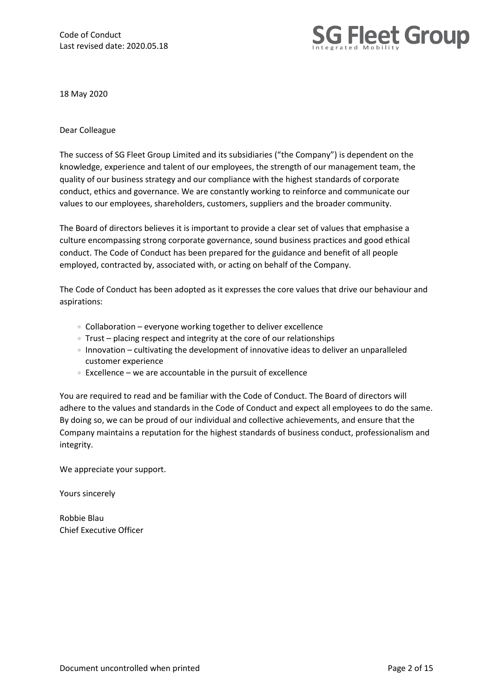Code of Conduct Last revised date: 2020.05.18



18 May 2020

#### Dear Colleague

The success of SG Fleet Group Limited and its subsidiaries ("the Company") is dependent on the knowledge, experience and talent of our employees, the strength of our management team, the quality of our business strategy and our compliance with the highest standards of corporate conduct, ethics and governance. We are constantly working to reinforce and communicate our values to our employees, shareholders, customers, suppliers and the broader community.

The Board of directors believes it is important to provide a clear set of values that emphasise a culture encompassing strong corporate governance, sound business practices and good ethical conduct. The Code of Conduct has been prepared for the guidance and benefit of all people employed, contracted by, associated with, or acting on behalf of the Company.

The Code of Conduct has been adopted as it expresses the core values that drive our behaviour and aspirations:

- Collaboration everyone working together to deliver excellence
- Trust placing respect and integrity at the core of our relationships
- Innovation cultivating the development of innovative ideas to deliver an unparalleled customer experience
- Excellence we are accountable in the pursuit of excellence

You are required to read and be familiar with the Code of Conduct. The Board of directors will adhere to the values and standards in the Code of Conduct and expect all employees to do the same. By doing so, we can be proud of our individual and collective achievements, and ensure that the Company maintains a reputation for the highest standards of business conduct, professionalism and integrity.

We appreciate your support.

Yours sincerely

Robbie Blau Chief Executive Officer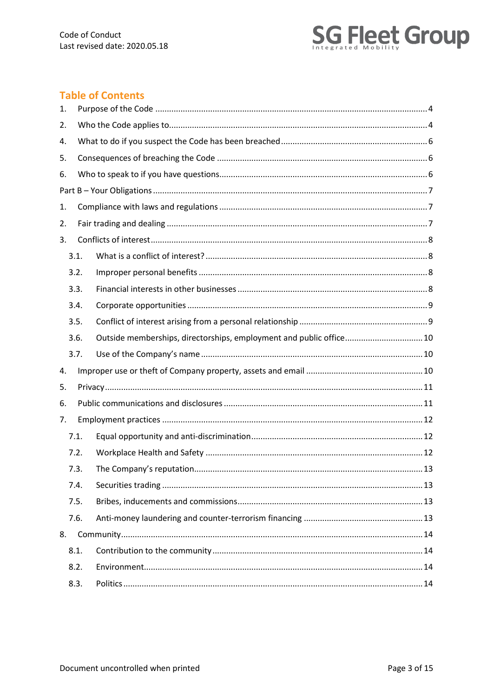

# **Table of Contents**

| 1. |      |                                                                     |  |
|----|------|---------------------------------------------------------------------|--|
| 2. |      |                                                                     |  |
| 4. |      |                                                                     |  |
| 5. |      |                                                                     |  |
| 6. |      |                                                                     |  |
|    |      |                                                                     |  |
| 1. |      |                                                                     |  |
| 2. |      |                                                                     |  |
| 3. |      |                                                                     |  |
|    | 3.1. |                                                                     |  |
|    | 3.2. |                                                                     |  |
|    | 3.3. |                                                                     |  |
|    | 3.4. |                                                                     |  |
|    | 3.5. |                                                                     |  |
|    | 3.6. | Outside memberships, directorships, employment and public office 10 |  |
|    |      |                                                                     |  |
|    | 3.7. |                                                                     |  |
| 4. |      |                                                                     |  |
| 5. |      |                                                                     |  |
| 6. |      |                                                                     |  |
| 7. |      |                                                                     |  |
|    | 7.1. |                                                                     |  |
|    | 7.2. |                                                                     |  |
|    | 7.3. |                                                                     |  |
|    | 7.4. |                                                                     |  |
|    | 7.5. |                                                                     |  |
|    | 7.6. |                                                                     |  |
| 8. |      |                                                                     |  |
|    | 8.1. |                                                                     |  |
|    | 8.2. |                                                                     |  |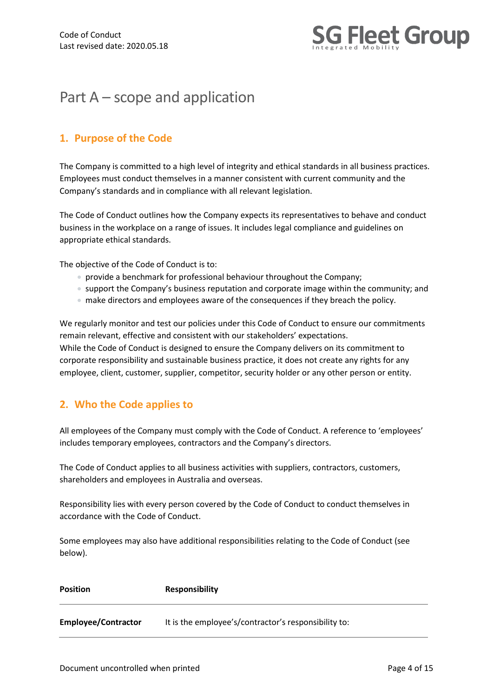

# Part A – scope and application

# <span id="page-3-0"></span>**1. Purpose of the Code**

The Company is committed to a high level of integrity and ethical standards in all business practices. Employees must conduct themselves in a manner consistent with current community and the Company's standards and in compliance with all relevant legislation.

The Code of Conduct outlines how the Company expects its representatives to behave and conduct business in the workplace on a range of issues. It includes legal compliance and guidelines on appropriate ethical standards.

The objective of the Code of Conduct is to:

- provide a benchmark for professional behaviour throughout the Company;
- support the Company's business reputation and corporate image within the community; and
- make directors and employees aware of the consequences if they breach the policy.

We regularly monitor and test our policies under this Code of Conduct to ensure our commitments remain relevant, effective and consistent with our stakeholders' expectations. While the Code of Conduct is designed to ensure the Company delivers on its commitment to corporate responsibility and sustainable business practice, it does not create any rights for any employee, client, customer, supplier, competitor, security holder or any other person or entity.

# <span id="page-3-1"></span>**2. Who the Code applies to**

All employees of the Company must comply with the Code of Conduct. A reference to 'employees' includes temporary employees, contractors and the Company's directors.

The Code of Conduct applies to all business activities with suppliers, contractors, customers, shareholders and employees in Australia and overseas.

Responsibility lies with every person covered by the Code of Conduct to conduct themselves in accordance with the Code of Conduct.

Some employees may also have additional responsibilities relating to the Code of Conduct (see below).

| Position                   | <b>Responsibility</b>                                |
|----------------------------|------------------------------------------------------|
| <b>Employee/Contractor</b> | It is the employee's/contractor's responsibility to: |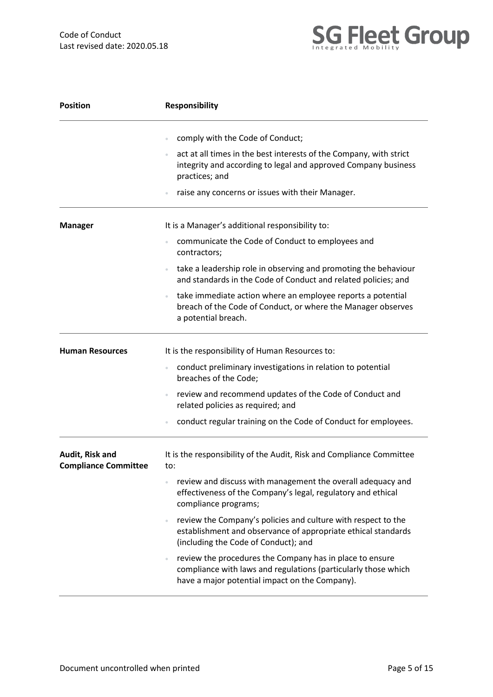

| <b>Position</b>                                | <b>Responsibility</b>                                                                                                                                                                                 |  |  |  |  |  |  |  |
|------------------------------------------------|-------------------------------------------------------------------------------------------------------------------------------------------------------------------------------------------------------|--|--|--|--|--|--|--|
|                                                | comply with the Code of Conduct;                                                                                                                                                                      |  |  |  |  |  |  |  |
|                                                | act at all times in the best interests of the Company, with strict<br>integrity and according to legal and approved Company business<br>practices; and                                                |  |  |  |  |  |  |  |
|                                                | raise any concerns or issues with their Manager.                                                                                                                                                      |  |  |  |  |  |  |  |
| <b>Manager</b>                                 | It is a Manager's additional responsibility to:                                                                                                                                                       |  |  |  |  |  |  |  |
|                                                | communicate the Code of Conduct to employees and<br>contractors;                                                                                                                                      |  |  |  |  |  |  |  |
|                                                | take a leadership role in observing and promoting the behaviour<br>$\circ$<br>and standards in the Code of Conduct and related policies; and                                                          |  |  |  |  |  |  |  |
|                                                | take immediate action where an employee reports a potential<br>breach of the Code of Conduct, or where the Manager observes<br>a potential breach.                                                    |  |  |  |  |  |  |  |
| <b>Human Resources</b>                         | It is the responsibility of Human Resources to:                                                                                                                                                       |  |  |  |  |  |  |  |
|                                                | conduct preliminary investigations in relation to potential<br>breaches of the Code;                                                                                                                  |  |  |  |  |  |  |  |
|                                                | review and recommend updates of the Code of Conduct and<br>related policies as required; and                                                                                                          |  |  |  |  |  |  |  |
|                                                | conduct regular training on the Code of Conduct for employees.                                                                                                                                        |  |  |  |  |  |  |  |
| Audit, Risk and<br><b>Compliance Committee</b> | It is the responsibility of the Audit, Risk and Compliance Committee<br>to:                                                                                                                           |  |  |  |  |  |  |  |
|                                                | review and discuss with management the overall adequacy and<br>$\begin{array}{c} \circ \\ \circ \end{array}$<br>effectiveness of the Company's legal, regulatory and ethical<br>compliance programs;  |  |  |  |  |  |  |  |
|                                                | review the Company's policies and culture with respect to the<br>establishment and observance of appropriate ethical standards<br>(including the Code of Conduct); and                                |  |  |  |  |  |  |  |
|                                                | review the procedures the Company has in place to ensure<br>$\qquad \qquad \circ$<br>compliance with laws and regulations (particularly those which<br>have a major potential impact on the Company). |  |  |  |  |  |  |  |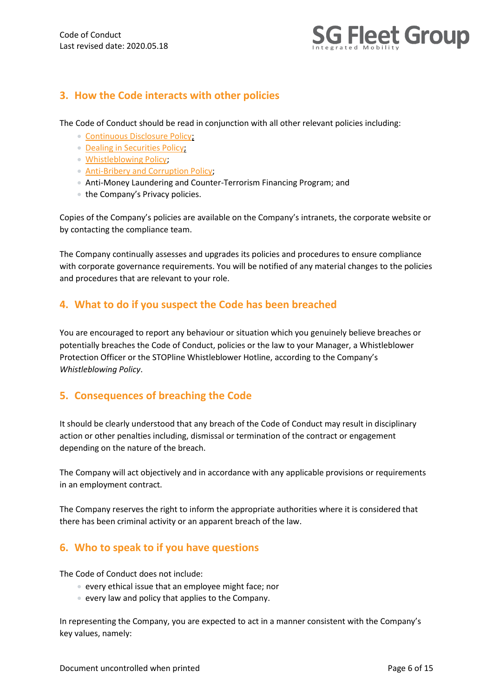

# **3. How the Code interacts with other policies**

The Code of Conduct should be read in conjunction with all other relevant policies including:

- [Continuous Disclosure Policy;](http://investors.sgfleet.com/Investors/?page=Policies---Practices)
- [Dealing in Securities Policy;](http://investors.sgfleet.com/Investors/?page=Policies---Practices)
- [Whistleblowing Policy;](http://investors.sgfleet.com/Investors/?page=Policies---Practices)
- [Anti-Bribery and Corruption Policy;](http://investors.sgfleet.com/Investors/?page=Policies---Practices)
- Anti-Money Laundering and Counter-Terrorism Financing Program; and
- the Company's Privacy policies.

Copies of the Company's policies are available on the Company's intranets, the corporate website or by contacting the compliance team.

The Company continually assesses and upgrades its policies and procedures to ensure compliance with corporate governance requirements. You will be notified of any material changes to the policies and procedures that are relevant to your role.

# <span id="page-5-0"></span>**4. What to do if you suspect the Code has been breached**

You are encouraged to report any behaviour or situation which you genuinely believe breaches or potentially breaches the Code of Conduct, policies or the law to your Manager, a Whistleblower Protection Officer or the STOPline Whistleblower Hotline, according to the Company's *Whistleblowing Policy*.

# <span id="page-5-1"></span>**5. Consequences of breaching the Code**

It should be clearly understood that any breach of the Code of Conduct may result in disciplinary action or other penalties including, dismissal or termination of the contract or engagement depending on the nature of the breach.

The Company will act objectively and in accordance with any applicable provisions or requirements in an employment contract.

The Company reserves the right to inform the appropriate authorities where it is considered that there has been criminal activity or an apparent breach of the law.

# <span id="page-5-2"></span>**6. Who to speak to if you have questions**

The Code of Conduct does not include:

- every ethical issue that an employee might face; nor
- every law and policy that applies to the Company.

In representing the Company, you are expected to act in a manner consistent with the Company's key values, namely: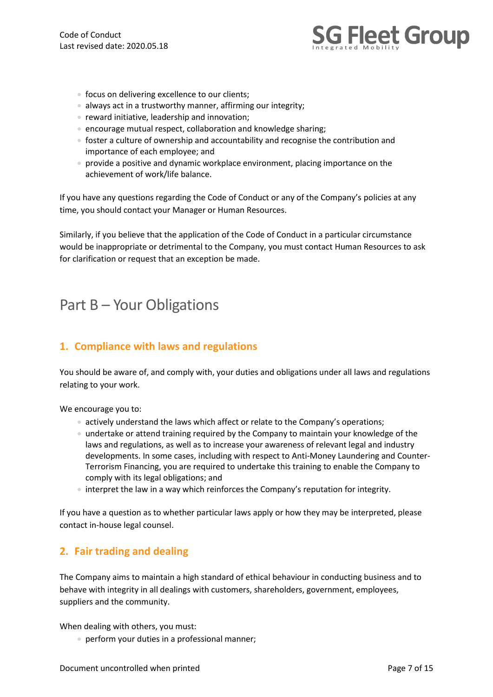

- focus on delivering excellence to our clients;
- always act in a trustworthy manner, affirming our integrity;
- reward initiative, leadership and innovation;
- encourage mutual respect, collaboration and knowledge sharing;
- foster a culture of ownership and accountability and recognise the contribution and importance of each employee; and
- provide a positive and dynamic workplace environment, placing importance on the achievement of work/life balance.

If you have any questions regarding the Code of Conduct or any of the Company's policies at any time, you should contact your Manager or Human Resources.

Similarly, if you believe that the application of the Code of Conduct in a particular circumstance would be inappropriate or detrimental to the Company, you must contact Human Resources to ask for clarification or request that an exception be made.

# <span id="page-6-0"></span>Part B – Your Obligations

# <span id="page-6-1"></span>**1. Compliance with laws and regulations**

You should be aware of, and comply with, your duties and obligations under all laws and regulations relating to your work.

We encourage you to:

- actively understand the laws which affect or relate to the Company's operations;
- undertake or attend training required by the Company to maintain your knowledge of the laws and regulations, as well as to increase your awareness of relevant legal and industry developments. In some cases, including with respect to Anti-Money Laundering and Counter-Terrorism Financing, you are required to undertake this training to enable the Company to comply with its legal obligations; and
- interpret the law in a way which reinforces the Company's reputation for integrity.

If you have a question as to whether particular laws apply or how they may be interpreted, please contact in-house legal counsel.

# <span id="page-6-2"></span>**2. Fair trading and dealing**

The Company aims to maintain a high standard of ethical behaviour in conducting business and to behave with integrity in all dealings with customers, shareholders, government, employees, suppliers and the community.

When dealing with others, you must:

• perform your duties in a professional manner;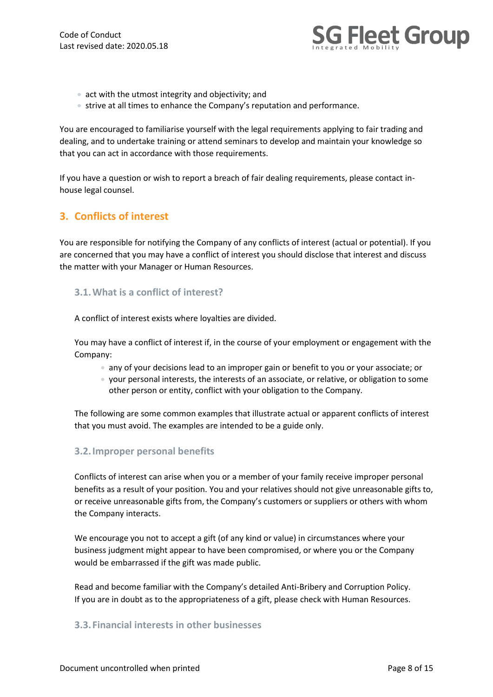

- act with the utmost integrity and objectivity; and
- strive at all times to enhance the Company's reputation and performance.

You are encouraged to familiarise yourself with the legal requirements applying to fair trading and dealing, and to undertake training or attend seminars to develop and maintain your knowledge so that you can act in accordance with those requirements.

If you have a question or wish to report a breach of fair dealing requirements, please contact inhouse legal counsel.

# <span id="page-7-0"></span>**3. Conflicts of interest**

You are responsible for notifying the Company of any conflicts of interest (actual or potential). If you are concerned that you may have a conflict of interest you should disclose that interest and discuss the matter with your Manager or Human Resources.

#### <span id="page-7-1"></span>**3.1.What is a conflict of interest?**

A conflict of interest exists where loyalties are divided.

You may have a conflict of interest if, in the course of your employment or engagement with the Company:

- any of your decisions lead to an improper gain or benefit to you or your associate; or
- your personal interests, the interests of an associate, or relative, or obligation to some other person or entity, conflict with your obligation to the Company.

The following are some common examples that illustrate actual or apparent conflicts of interest that you must avoid. The examples are intended to be a guide only.

#### <span id="page-7-2"></span>**3.2.Improper personal benefits**

Conflicts of interest can arise when you or a member of your family receive improper personal benefits as a result of your position. You and your relatives should not give unreasonable gifts to, or receive unreasonable gifts from, the Company's customers or suppliers or others with whom the Company interacts.

We encourage you not to accept a gift (of any kind or value) in circumstances where your business judgment might appear to have been compromised, or where you or the Company would be embarrassed if the gift was made public.

Read and become familiar with the Company's detailed Anti-Bribery and Corruption Policy. If you are in doubt as to the appropriateness of a gift, please check with Human Resources.

#### <span id="page-7-3"></span>**3.3.Financial interests in other businesses**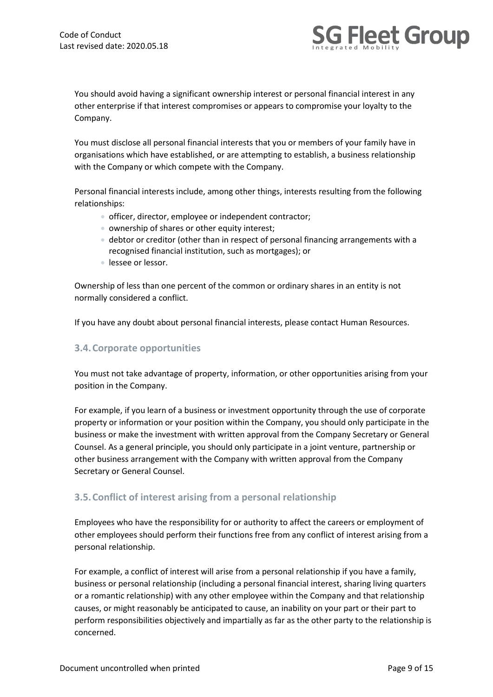

You should avoid having a significant ownership interest or personal financial interest in any other enterprise if that interest compromises or appears to compromise your loyalty to the Company.

You must disclose all personal financial interests that you or members of your family have in organisations which have established, or are attempting to establish, a business relationship with the Company or which compete with the Company.

Personal financial interests include, among other things, interests resulting from the following relationships:

- officer, director, employee or independent contractor;
- ownership of shares or other equity interest;
- debtor or creditor (other than in respect of personal financing arrangements with a recognised financial institution, such as mortgages); or
- lessee or lessor.

Ownership of less than one percent of the common or ordinary shares in an entity is not normally considered a conflict.

If you have any doubt about personal financial interests, please contact Human Resources.

#### <span id="page-8-0"></span>**3.4.Corporate opportunities**

You must not take advantage of property, information, or other opportunities arising from your position in the Company.

For example, if you learn of a business or investment opportunity through the use of corporate property or information or your position within the Company, you should only participate in the business or make the investment with written approval from the Company Secretary or General Counsel. As a general principle, you should only participate in a joint venture, partnership or other business arrangement with the Company with written approval from the Company Secretary or General Counsel.

#### <span id="page-8-1"></span>**3.5.Conflict of interest arising from a personal relationship**

Employees who have the responsibility for or authority to affect the careers or employment of other employees should perform their functions free from any conflict of interest arising from a personal relationship.

For example, a conflict of interest will arise from a personal relationship if you have a family, business or personal relationship (including a personal financial interest, sharing living quarters or a romantic relationship) with any other employee within the Company and that relationship causes, or might reasonably be anticipated to cause, an inability on your part or their part to perform responsibilities objectively and impartially as far as the other party to the relationship is concerned.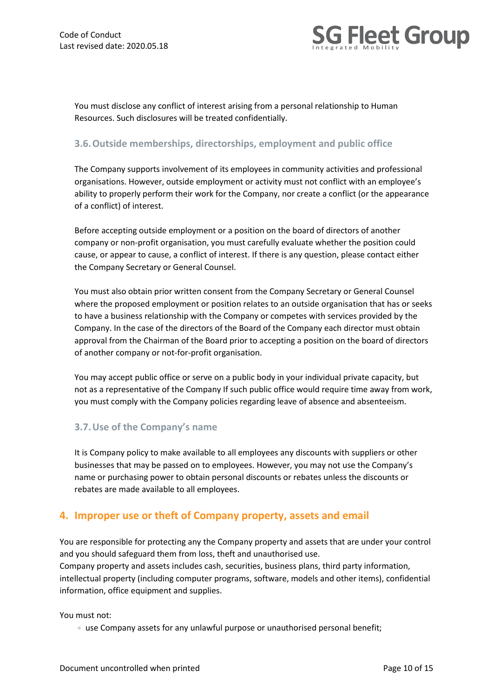

You must disclose any conflict of interest arising from a personal relationship to Human Resources. Such disclosures will be treated confidentially.

#### <span id="page-9-0"></span>**3.6.Outside memberships, directorships, employment and public office**

The Company supports involvement of its employees in community activities and professional organisations. However, outside employment or activity must not conflict with an employee's ability to properly perform their work for the Company, nor create a conflict (or the appearance of a conflict) of interest.

Before accepting outside employment or a position on the board of directors of another company or non-profit organisation, you must carefully evaluate whether the position could cause, or appear to cause, a conflict of interest. If there is any question, please contact either the Company Secretary or General Counsel.

You must also obtain prior written consent from the Company Secretary or General Counsel where the proposed employment or position relates to an outside organisation that has or seeks to have a business relationship with the Company or competes with services provided by the Company. In the case of the directors of the Board of the Company each director must obtain approval from the Chairman of the Board prior to accepting a position on the board of directors of another company or not-for-profit organisation.

You may accept public office or serve on a public body in your individual private capacity, but not as a representative of the Company If such public office would require time away from work, you must comply with the Company policies regarding leave of absence and absenteeism.

#### <span id="page-9-1"></span>**3.7.Use of the Company's name**

It is Company policy to make available to all employees any discounts with suppliers or other businesses that may be passed on to employees. However, you may not use the Company's name or purchasing power to obtain personal discounts or rebates unless the discounts or rebates are made available to all employees.

# <span id="page-9-2"></span>**4. Improper use or theft of Company property, assets and email**

You are responsible for protecting any the Company property and assets that are under your control and you should safeguard them from loss, theft and unauthorised use. Company property and assets includes cash, securities, business plans, third party information, intellectual property (including computer programs, software, models and other items), confidential information, office equipment and supplies.

You must not:

• use Company assets for any unlawful purpose or unauthorised personal benefit;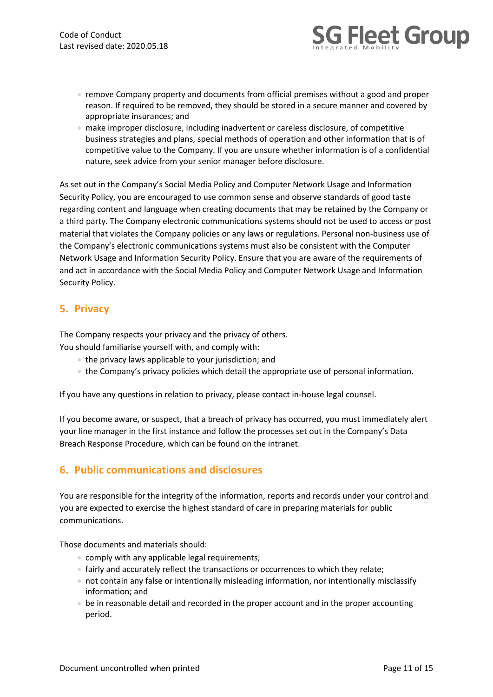

- remove Company property and documents from official premises without a good and proper reason. If required to be removed, they should be stored in a secure manner and covered by appropriate insurances; and
- make improper disclosure, including inadvertent or careless disclosure, of competitive business strategies and plans, special methods of operation and other information that is of competitive value to the Company. If you are unsure whether information is of a confidential nature, seek advice from your senior manager before disclosure.

As set out in the Company's Social Media Policy and Computer Network Usage and Information Security Policy, you are encouraged to use common sense and observe standards of good taste regarding content and language when creating documents that may be retained by the Company or a third party. The Company electronic communications systems should not be used to access or post material that violates the Company policies or any laws or regulations. Personal non-business use of the Company's electronic communications systems must also be consistent with the Computer Network Usage and Information Security Policy. Ensure that you are aware of the requirements of and act in accordance with the Social Media Policy and Computer Network Usage and Information Security Policy.

## <span id="page-10-0"></span>**5. Privacy**

The Company respects your privacy and the privacy of others.

You should familiarise yourself with, and comply with:

- the privacy laws applicable to your jurisdiction; and
- the Company's privacy policies which detail the appropriate use of personal information.

If you have any questions in relation to privacy, please contact in-house legal counsel.

If you become aware, or suspect, that a breach of privacy has occurred, you must immediately alert your line manager in the first instance and follow the processes set out in the Company's Data Breach Response Procedure, which can be found on the intranet.

# <span id="page-10-1"></span>**6. Public communications and disclosures**

You are responsible for the integrity of the information, reports and records under your control and you are expected to exercise the highest standard of care in preparing materials for public communications.

Those documents and materials should:

- comply with any applicable legal requirements;
- fairly and accurately reflect the transactions or occurrences to which they relate;
- not contain any false or intentionally misleading information, nor intentionally misclassify information; and
- be in reasonable detail and recorded in the proper account and in the proper accounting period.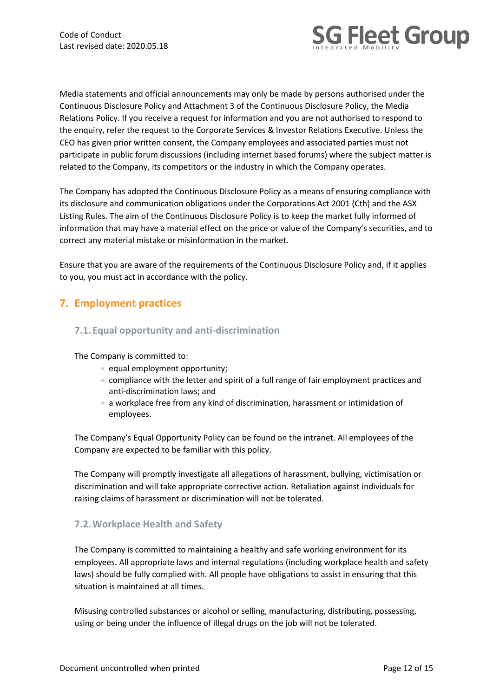

Media statements and official announcements may only be made by persons authorised under the Continuous Disclosure Policy and Attachment 3 of the Continuous Disclosure Policy, the Media Relations Policy. If you receive a request for information and you are not authorised to respond to the enquiry, refer the request to the Corporate Services & Investor Relations Executive. Unless the CEO has given prior written consent, the Company employees and associated parties must not participate in public forum discussions (including internet based forums) where the subject matter is related to the Company, its competitors or the industry in which the Company operates.

The Company has adopted the Continuous Disclosure Policy as a means of ensuring compliance with its disclosure and communication obligations under the Corporations Act 2001 (Cth) and the ASX Listing Rules. The aim of the Continuous Disclosure Policy is to keep the market fully informed of information that may have a material effect on the price or value of the Company's securities, and to correct any material mistake or misinformation in the market.

Ensure that you are aware of the requirements of the Continuous Disclosure Policy and, if it applies to you, you must act in accordance with the policy.

# <span id="page-11-0"></span>**7. Employment practices**

#### <span id="page-11-1"></span>**7.1.Equal opportunity and anti-discrimination**

The Company is committed to:

- equal employment opportunity;
- compliance with the letter and spirit of a full range of fair employment practices and anti-discrimination laws; and
- a workplace free from any kind of discrimination, harassment or intimidation of employees.

The Company's Equal Opportunity Policy can be found on the intranet. All employees of the Company are expected to be familiar with this policy.

The Company will promptly investigate all allegations of harassment, bullying, victimisation or discrimination and will take appropriate corrective action. Retaliation against individuals for raising claims of harassment or discrimination will not be tolerated.

#### <span id="page-11-2"></span>**7.2.Workplace Health and Safety**

The Company is committed to maintaining a healthy and safe working environment for its employees. All appropriate laws and internal regulations (including workplace health and safety laws) should be fully complied with. All people have obligations to assist in ensuring that this situation is maintained at all times.

Misusing controlled substances or alcohol or selling, manufacturing, distributing, possessing, using or being under the influence of illegal drugs on the job will not be tolerated.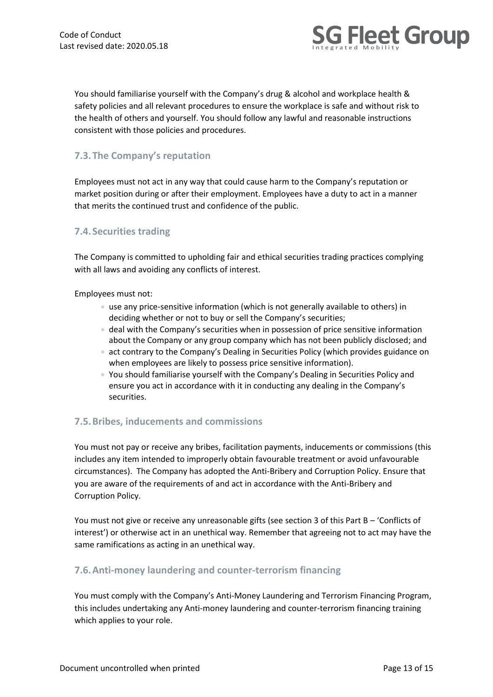

You should familiarise yourself with the Company's drug & alcohol and workplace health & safety policies and all relevant procedures to ensure the workplace is safe and without risk to the health of others and yourself. You should follow any lawful and reasonable instructions consistent with those policies and procedures.

## <span id="page-12-0"></span>**7.3.The Company's reputation**

Employees must not act in any way that could cause harm to the Company's reputation or market position during or after their employment. Employees have a duty to act in a manner that merits the continued trust and confidence of the public.

#### <span id="page-12-1"></span>**7.4.Securities trading**

The Company is committed to upholding fair and ethical securities trading practices complying with all laws and avoiding any conflicts of interest.

Employees must not:

- use any price-sensitive information (which is not generally available to others) in deciding whether or not to buy or sell the Company's securities;
- deal with the Company's securities when in possession of price sensitive information about the Company or any group company which has not been publicly disclosed; and
- act contrary to the Company's Dealing in Securities Policy (which provides guidance on when employees are likely to possess price sensitive information).
- You should familiarise yourself with the Company's Dealing in Securities Policy and ensure you act in accordance with it in conducting any dealing in the Company's securities.

#### <span id="page-12-2"></span>**7.5.Bribes, inducements and commissions**

You must not pay or receive any bribes, facilitation payments, inducements or commissions (this includes any item intended to improperly obtain favourable treatment or avoid unfavourable circumstances). The Company has adopted the Anti-Bribery and Corruption Policy. Ensure that you are aware of the requirements of and act in accordance with the Anti-Bribery and Corruption Policy.

You must not give or receive any unreasonable gifts (see section 3 of this Part B – 'Conflicts of interest') or otherwise act in an unethical way. Remember that agreeing not to act may have the same ramifications as acting in an unethical way.

#### <span id="page-12-3"></span>**7.6.Anti-money laundering and counter-terrorism financing**

You must comply with the Company's Anti-Money Laundering and Terrorism Financing Program, this includes undertaking any Anti-money laundering and counter-terrorism financing training which applies to your role.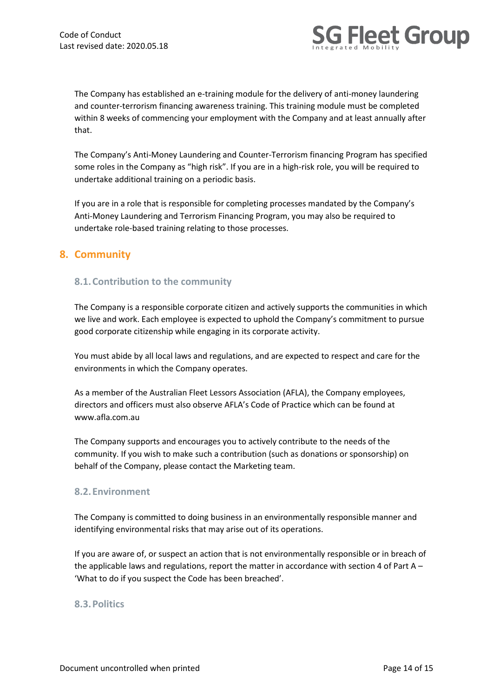

The Company has established an e-training module for the delivery of anti-money laundering and counter-terrorism financing awareness training. This training module must be completed within 8 weeks of commencing your employment with the Company and at least annually after that.

The Company's Anti-Money Laundering and Counter-Terrorism financing Program has specified some roles in the Company as "high risk". If you are in a high-risk role, you will be required to undertake additional training on a periodic basis.

If you are in a role that is responsible for completing processes mandated by the Company's Anti-Money Laundering and Terrorism Financing Program, you may also be required to undertake role-based training relating to those processes.

## <span id="page-13-0"></span>**8. Community**

#### <span id="page-13-1"></span>**8.1.Contribution to the community**

The Company is a responsible corporate citizen and actively supports the communities in which we live and work. Each employee is expected to uphold the Company's commitment to pursue good corporate citizenship while engaging in its corporate activity.

You must abide by all local laws and regulations, and are expected to respect and care for the environments in which the Company operates.

As a member of the Australian Fleet Lessors Association (AFLA), the Company employees, directors and officers must also observe AFLA's Code of Practice which can be found at www.afla.com.au

The Company supports and encourages you to actively contribute to the needs of the community. If you wish to make such a contribution (such as donations or sponsorship) on behalf of the Company, please contact the Marketing team.

#### <span id="page-13-2"></span>**8.2.Environment**

The Company is committed to doing business in an environmentally responsible manner and identifying environmental risks that may arise out of its operations.

If you are aware of, or suspect an action that is not environmentally responsible or in breach of the applicable laws and regulations, report the matter in accordance with section 4 of Part  $A -$ 'What to do if you suspect the Code has been breached'.

#### <span id="page-13-3"></span>**8.3.Politics**